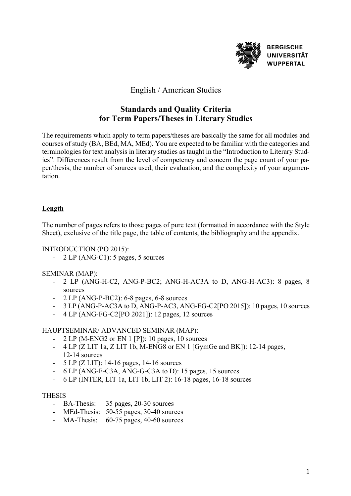

### English / American Studies

# **Standards and Quality Criteria for Term Papers/Theses in Literary Studies**

The requirements which apply to term papers/theses are basically the same for all modules and courses of study (BA, BEd, MA, MEd). You are expected to be familiar with the categories and terminologies for text analysis in literary studies as taught in the "Introduction to Literary Studies". Differences result from the level of competency and concern the page count of your paper/thesis, the number of sources used, their evaluation, and the complexity of your argumentation.

#### **Length**

The number of pages refers to those pages of pure text (formatted in accordance with the Style Sheet), exclusive of the title page, the table of contents, the bibliography and the appendix.

#### INTRODUCTION (PO 2015):

- 2 LP (ANG-C1): 5 pages, 5 sources

#### SEMINAR (MAP):

- 2 LP (ANG-H-C2, ANG-P-BC2; ANG-H-AC3A to D, ANG-H-AC3): 8 pages, 8 sources
- 2 LP (ANG-P-BC2): 6-8 pages, 6-8 sources
- 3 LP (ANG-P-AC3A to D, ANG-P-AC3, ANG-FG-C2[PO 2015]): 10 pages, 10 sources
- 4 LP (ANG-FG-C2[PO 2021]): 12 pages, 12 sources

#### HAUPTSEMINAR/ ADVANCED SEMINAR (MAP):

- $2 LP (M-ENG2 or EN 1 [P])$ : 10 pages, 10 sources
- 4 LP (Z LIT 1a, Z LIT 1b, M-ENG8 or EN 1 [GymGe and BK]): 12-14 pages, 12-14 sources
- 5 LP (Z LIT): 14-16 pages, 14-16 sources
- 6 LP (ANG-F-C3A, ANG-G-C3A to D): 15 pages, 15 sources
- 6 LP (INTER, LIT 1a, LIT 1b, LIT 2): 16-18 pages, 16-18 sources

#### **THESIS**

- BA-Thesis: 35 pages, 20-30 sources
- MEd-Thesis: 50-55 pages, 30-40 sources
- MA-Thesis: 60-75 pages, 40-60 sources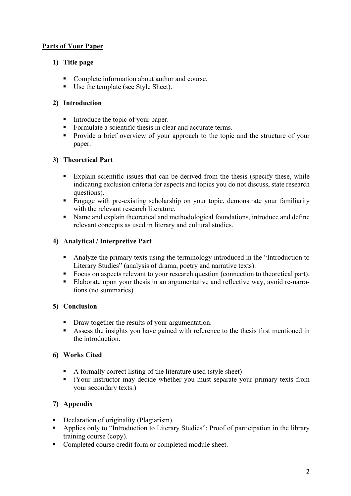### **Parts of Your Paper**

## **1) Title page**

- Complete information about author and course.
- Use the template (see Style Sheet).

### **2) Introduction**

- Introduce the topic of your paper.
- Formulate a scientific thesis in clear and accurate terms.
- Provide a brief overview of your approach to the topic and the structure of your paper.

## **3) Theoretical Part**

- Explain scientific issues that can be derived from the thesis (specify these, while indicating exclusion criteria for aspects and topics you do not discuss, state research questions).
- Engage with pre-existing scholarship on your topic, demonstrate your familiarity with the relevant research literature.
- Name and explain theoretical and methodological foundations, introduce and define relevant concepts as used in literary and cultural studies.

## **4) Analytical / Interpretive Part**

- Analyze the primary texts using the terminology introduced in the "Introduction to Literary Studies" (analysis of drama, poetry and narrative texts).
- Focus on aspects relevant to your research question (connection to theoretical part).
- Elaborate upon your thesis in an argumentative and reflective way, avoid re-narrations (no summaries).

#### **5) Conclusion**

- Draw together the results of your argumentation.
- § Assess the insights you have gained with reference to the thesis first mentioned in the introduction.

#### **6) Works Cited**

- A formally correct listing of the literature used (style sheet)
- § (Your instructor may decide whether you must separate your primary texts from your secondary texts.)

# **7) Appendix**

- Declaration of originality (Plagiarism).
- Applies only to "Introduction to Literary Studies": Proof of participation in the library training course (copy).
- Completed course credit form or completed module sheet.